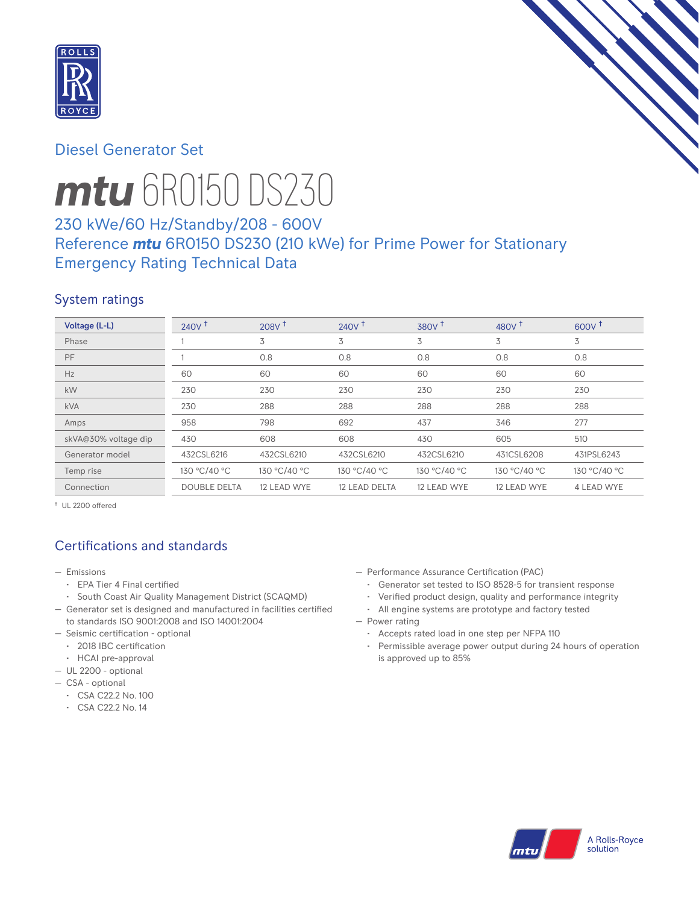

# Diesel Generator Set



# *mtu* 6R0150 DS230

# 230 kWe/60 Hz/Standby/208 - 600V Reference *mtu* 6R0150 DS230 (210 kWe) for Prime Power for Stationary Emergency Rating Technical Data

## System ratings

| Voltage (L-L)        | 240V <sup>†</sup>   | 208V <sup>†</sup> | $240V$ <sup>+</sup> | 380V <sup>†</sup> | 480 $V†$     | 600V <sup>†</sup> |
|----------------------|---------------------|-------------------|---------------------|-------------------|--------------|-------------------|
| Phase                |                     | 3                 | 3                   | 3                 | 3            | 3                 |
| PF                   |                     | 0.8               | 0.8                 | 0.8               | 0.8          | 0.8               |
| Hz                   | 60                  | 60                | 60                  | 60                | 60           | 60                |
| kW                   | 230                 | 230               | 230                 | 230               | 230          | 230               |
| <b>kVA</b>           | 230                 | 288               | 288                 | 288               | 288          | 288               |
| Amps                 | 958                 | 798               | 692                 | 437               | 346          | 277               |
| skVA@30% voltage dip | 430                 | 608               | 608                 | 430               | 605          | 510               |
| Generator model      | 432CSL6216          | 432CSL6210        | 432CSL6210          | 432CSL6210        | 431CSL6208   | 431PSL6243        |
| Temp rise            | 130 °C/40 °C        | 130 °C/40 °C      | 130 °C/40 °C        | 130 °C/40 °C      | 130 °C/40 °C | 130 °C/40 °C      |
| Connection           | <b>DOUBLE DELTA</b> | 12 LEAD WYE       | 12 LEAD DELTA       | 12 LEAD WYE       | 12 LEAD WYE  | 4 LEAD WYE        |

† UL 2200 offered

# Certifications and standards

- Emissions
	- EPA Tier 4 Final certified
	- South Coast Air Quality Management District (SCAQMD)
- Generator set is designed and manufactured in facilities certified to standards ISO 9001:2008 and ISO 14001:2004
- Seismic certification optional
	- 2018 IBC certification
- HCAI pre-approval
- UL 2200 optional
- CSA optional
	- CSA C22.2 No. 100
	- CSA C22.2 No. 14
- Performance Assurance Certification (PAC)
	- Generator set tested to ISO 8528-5 for transient response
	- Verified product design, quality and performance integrity
	- All engine systems are prototype and factory tested
- Power rating
	- Accepts rated load in one step per NFPA 110
	- Permissible average power output during 24 hours of operation is approved up to 85%

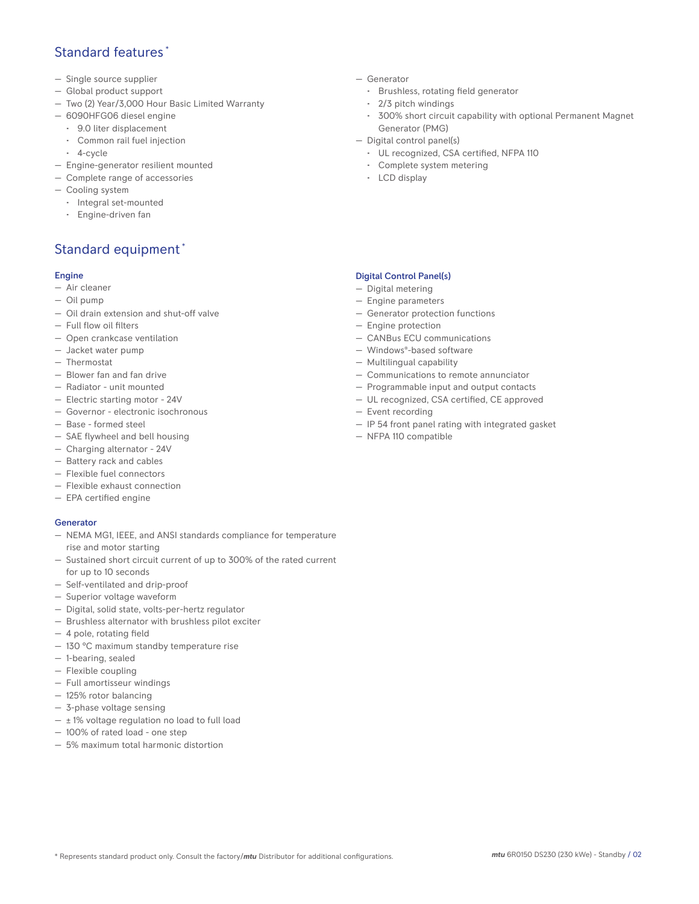## Standard features \*

- Single source supplier
- Global product support
- Two (2) Year/3,000 Hour Basic Limited Warranty
- 6090HFG06 diesel engine
	- 9.0 liter displacement
	- Common rail fuel injection
	- 4-cycle
- Engine-generator resilient mounted
- Complete range of accessories
- Cooling system
- Integral set-mounted
	- Engine-driven fan

# Standard equipment \*

#### Engine

- Air cleaner
- Oil pump
- Oil drain extension and shut-off valve
- Full flow oil filters
- Open crankcase ventilation
- Jacket water pump
- Thermostat
- Blower fan and fan drive
- Radiator unit mounted
- Electric starting motor 24V
- Governor electronic isochronous
- Base formed steel
- SAE flywheel and bell housing
- Charging alternator 24V
- Battery rack and cables
- Flexible fuel connectors
- Flexible exhaust connection
- EPA certified engine

#### **Generator**

- NEMA MG1, IEEE, and ANSI standards compliance for temperature rise and motor starting
- Sustained short circuit current of up to 300% of the rated current for up to 10 seconds
- Self-ventilated and drip-proof
- Superior voltage waveform
- Digital, solid state, volts-per-hertz regulator
- Brushless alternator with brushless pilot exciter
- 4 pole, rotating field
- 130 °C maximum standby temperature rise
- 1-bearing, sealed
- Flexible coupling
- Full amortisseur windings
- 125% rotor balancing
- 3-phase voltage sensing
- $\pm$  1% voltage regulation no load to full load
- 100% of rated load one step
- 5% maximum total harmonic distortion
- Generator
	- Brushless, rotating field generator
	- 2/3 pitch windings
	- 300% short circuit capability with optional Permanent Magnet Generator (PMG)
- Digital control panel(s)
	- UL recognized, CSA certified, NFPA 110
	- Complete system metering
	- LCD display

### Digital Control Panel(s)

- Digital metering
- Engine parameters
- Generator protection functions
- Engine protection
- CANBus ECU communications
- Windows®-based software
- Multilingual capability
- Communications to remote annunciator
- Programmable input and output contacts
- UL recognized, CSA certified, CE approved
- Event recording
- IP 54 front panel rating with integrated gasket
- NFPA 110 compatible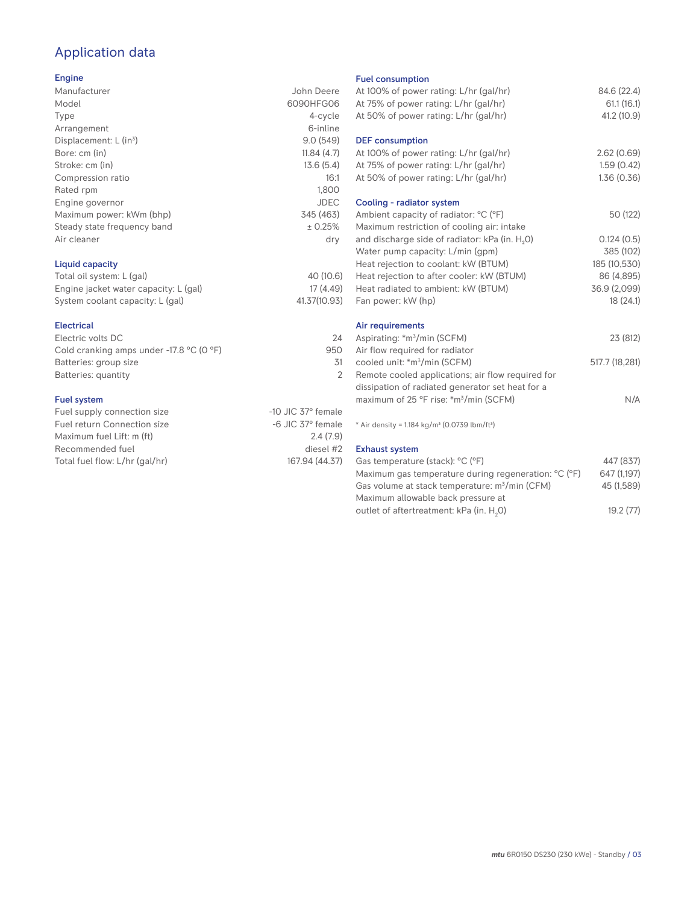# Application data

#### Engine

| Manufacturer                | John Deere  |
|-----------------------------|-------------|
| Model                       | 6090HFG06   |
| Type                        | 4-cycle     |
| Arrangement                 | 6-inline    |
| Displacement: $L (in3)$     | 9.0(549)    |
| Bore: cm (in)               | 11.84(4.7)  |
| Stroke: cm (in)             | 13.6(5.4)   |
| Compression ratio           | 16:1        |
| Rated rpm                   | 1,800       |
| Engine governor             | <b>JDEC</b> |
| Maximum power: kWm (bhp)    | 345 (463)   |
| Steady state frequency band | ± 0.25%     |
| Air cleaner                 | dry         |
|                             |             |
|                             |             |

## Liquid capacity

| Total oil system: L (gal)             | 40 (10.6)    |
|---------------------------------------|--------------|
| Engine jacket water capacity: L (gal) | 17 (4.49)    |
| System coolant capacity: L (gal)      | 41.37(10.93) |

#### Electrical

| Electric volts DC                                            | 24  |
|--------------------------------------------------------------|-----|
| Cold cranking amps under -17.8 $^{\circ}$ C (O $^{\circ}$ F) | 950 |
| Batteries: group size                                        | .31 |
| Batteries: quantity                                          |     |
|                                                              |     |

#### Fuel system

| Fuel supply connection size    | $-10$ JIC 37 $\degree$ female |
|--------------------------------|-------------------------------|
| Fuel return Connection size    | $-6$ JIC 37 $^{\circ}$ female |
| Maximum fuel Lift: m (ft)      | 2.4(7.9)                      |
| Recommended fuel               | diesel #2                     |
| Total fuel flow: L/hr (gal/hr) | 167.94 (44.37)                |
|                                |                               |

#### Fuel consumption

| At 100% of power rating: L/hr (gal/hr)<br>At 75% of power rating: L/hr (gal/hr)<br>At 50% of power rating: L/hr (gal/hr) | 84.6 (22.4)<br>61.1(16.1)<br>41.2 (10.9) |
|--------------------------------------------------------------------------------------------------------------------------|------------------------------------------|
| <b>DEF</b> consumption<br>At 100% of power rating: L/hr (gal/hr)                                                         | 2.62(0.69)                               |
| At 75% of power rating: L/hr (gal/hr)                                                                                    | 1.59(0.42)                               |
| At 50% of power rating: L/hr (gal/hr)                                                                                    | 1.36(0.36)                               |
| Cooling - radiator system                                                                                                |                                          |
| Ambient capacity of radiator: °C (°F)<br>Maximum restriction of cooling air: intake                                      | 50 (122)                                 |
| and discharge side of radiator: kPa (in. H <sub>2</sub> O)                                                               | 0.124(0.5)                               |
| Water pump capacity: L/min (gpm)                                                                                         | 385 (102)                                |
| Heat rejection to coolant: kW (BTUM)                                                                                     | 185 (10,530)                             |
| Heat rejection to after cooler: kW (BTUM)                                                                                | 86 (4,895)                               |
| Heat radiated to ambient: kW (BTUM)                                                                                      | 36.9 (2,099)                             |
| Fan power: kW (hp)                                                                                                       | 18(24.1)                                 |
| Air requirements                                                                                                         |                                          |
| Aspirating: *m <sup>3</sup> /min (SCFM)<br>Air flow required for radiator                                                | 23 (812)                                 |
| cooled unit: *m <sup>3</sup> /min (SCFM)                                                                                 | 517.7 (18,281)                           |
| Remote cooled applications; air flow required for                                                                        |                                          |
| dissipation of radiated generator set heat for a                                                                         |                                          |
| maximum of 25 °F rise: *m <sup>3</sup> /min (SCFM)                                                                       | N/A                                      |
| * Air density = 1.184 kg/m <sup>3</sup> (0.0739 lbm/ft <sup>3</sup> )                                                    |                                          |
| <b>Exhaust system</b>                                                                                                    |                                          |
| Gas temperature (stack): °C (°F)                                                                                         | 447 (837)                                |
| Maximum gas temperature during regeneration: °C (°F)                                                                     | 647 (1,197)                              |
| Gas volume at stack temperature: m <sup>3</sup> /min (CFM)                                                               | 45 (1,589)                               |

Maximum allowable back pressure at outlet of aftertreatment: kPa (in.  ${\sf H}_{_2}$ 

0) 19.2 (77)